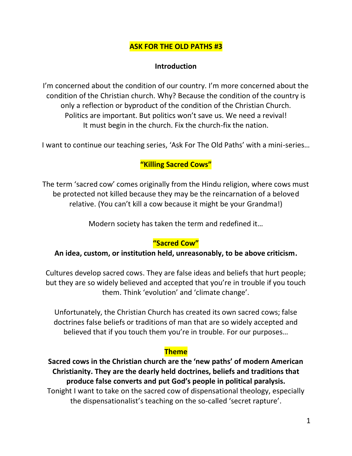### **ASK FOR THE OLD PATHS #3**

#### **Introduction**

I'm concerned about the condition of our country. I'm more concerned about the condition of the Christian church. Why? Because the condition of the country is only a reflection or byproduct of the condition of the Christian Church. Politics are important. But politics won't save us. We need a revival! It must begin in the church. Fix the church-fix the nation.

I want to continue our teaching series, 'Ask For The Old Paths' with a mini-series…

### **"Killing Sacred Cows"**

The term 'sacred cow' comes originally from the Hindu religion, where cows must be protected not killed because they may be the reincarnation of a beloved relative. (You can't kill a cow because it might be your Grandma!)

Modern society has taken the term and redefined it…

#### **"Sacred Cow"**

#### **An idea, custom, or institution held, unreasonably, to be above criticism.**

Cultures develop sacred cows. They are false ideas and beliefs that hurt people; but they are so widely believed and accepted that you're in trouble if you touch them. Think 'evolution' and 'climate change'.

Unfortunately, the Christian Church has created its own sacred cows; false doctrines false beliefs or traditions of man that are so widely accepted and believed that if you touch them you're in trouble. For our purposes…

#### **Theme**

**Sacred cows in the Christian church are the 'new paths' of modern American Christianity. They are the dearly held doctrines, beliefs and traditions that produce false converts and put God's people in political paralysis.** Tonight I want to take on the sacred cow of dispensational theology, especially the dispensationalist's teaching on the so-called 'secret rapture'.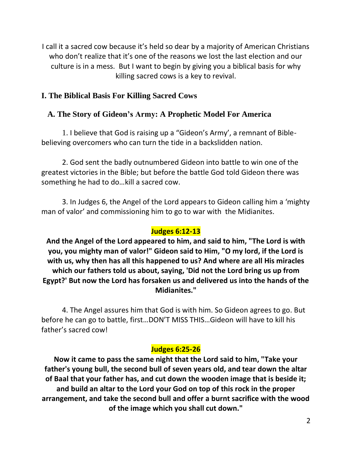I call it a sacred cow because it's held so dear by a majority of American Christians who don't realize that it's one of the reasons we lost the last election and our culture is in a mess. But I want to begin by giving you a biblical basis for why killing sacred cows is a key to revival.

## **I. The Biblical Basis For Killing Sacred Cows**

# **A. The Story of Gideon's Army: A Prophetic Model For America**

1. I believe that God is raising up a "Gideon's Army', a remnant of Biblebelieving overcomers who can turn the tide in a backslidden nation.

2. God sent the badly outnumbered Gideon into battle to win one of the greatest victories in the Bible; but before the battle God told Gideon there was something he had to do…kill a sacred cow.

3. In Judges 6, the Angel of the Lord appears to Gideon calling him a 'mighty man of valor' and commissioning him to go to war with the Midianites.

# **Judges 6:12-13**

**And the Angel of the Lord appeared to him, and said to him, "The Lord is with you, you mighty man of valor!" Gideon said to Him, "O my lord, if the Lord is with us, why then has all this happened to us? And where are all His miracles which our fathers told us about, saying, 'Did not the Lord bring us up from Egypt?' But now the Lord has forsaken us and delivered us into the hands of the Midianites."**

4. The Angel assures him that God is with him. So Gideon agrees to go. But before he can go to battle, first…DON'T MISS THIS…Gideon will have to kill his father's sacred cow!

## **Judges 6:25-26**

**Now it came to pass the same night that the Lord said to him, "Take your father's young bull, the second bull of seven years old, and tear down the altar of Baal that your father has, and cut down the wooden image that is beside it; and build an altar to the Lord your God on top of this rock in the proper arrangement, and take the second bull and offer a burnt sacrifice with the wood of the image which you shall cut down."**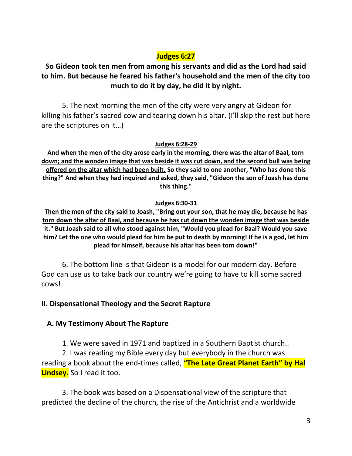# **Judges 6:27**

# **So Gideon took ten men from among his servants and did as the Lord had said to him. But because he feared his father's household and the men of the city too much to do it by day, he did it by night.**

5. The next morning the men of the city were very angry at Gideon for killing his father's sacred cow and tearing down his altar. (I'll skip the rest but here are the scriptures on it…)

**Judges 6:28-29**

**And when the men of the city arose early in the morning, there was the altar of Baal, torn down; and the wooden image that was beside it was cut down, and the second bull was being offered on the altar which had been built. So they said to one another, "Who has done this thing?" And when they had inquired and asked, they said, "Gideon the son of Joash has done this thing."**

#### **Judges 6:30-31**

**Then the men of the city said to Joash, "Bring out your son, that he may die, because he has torn down the altar of Baal, and because he has cut down the wooden image that was beside it." But Joash said to all who stood against him, "Would you plead for Baal? Would you save him? Let the one who would plead for him be put to death by morning! If he is a god, let him plead for himself, because his altar has been torn down!"** 

6. The bottom line is that Gideon is a model for our modern day. Before God can use us to take back our country we're going to have to kill some sacred cows!

#### **II. Dispensational Theology and the Secret Rapture**

## **A. My Testimony About The Rapture**

1. We were saved in 1971 and baptized in a Southern Baptist church..

2. I was reading my Bible every day but everybody in the church was reading a book about the end-times called, **"The Late Great Planet Earth" by Hal Lindsey.** So I read it too.

3. The book was based on a Dispensational view of the scripture that predicted the decline of the church, the rise of the Antichrist and a worldwide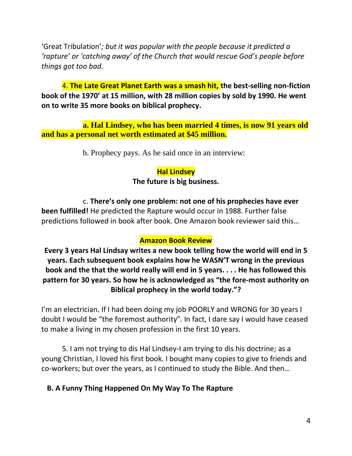'Great Tribulation'*; but it was popular with the people because it predicted a 'rapture' or 'catching away' of the Church that would rescue God's people before things got too bad.*

4. **The Late Great Planet Earth was a smash hit, the best-selling non-fiction book of the 1970' at 15 million, with 28 million copies by sold by 1990. He went on to write 35 more books on biblical prophecy.**

**a. Hal Lindsey, who has been married 4 times, is now 91 years old and has a personal net worth estimated at \$45 million.**

b. Prophecy pays. As he said once in an interview:

## **Hal Lindsey The future is big business.**

c. **There's only one problem: not one of his prophecies have ever been fulfilled!** He predicted the Rapture would occur in 1988. Further false predictions followed in book after book. One Amazon book reviewer said this…

#### **Amazon Book Review**

**Every 3 years Hal Lindsay writes a new book telling how the world will end in 5 years. Each subsequent book explains how he WASN'T wrong in the previous book and the that the world really will end in 5 years. . . . He has followed this pattern for 30 years. So how he is acknowledged as "the fore-most authority on Biblical prophecy in the world today."?**

I'm an electrician. If I had been doing my job POORLY and WRONG for 30 years I doubt I would be "the foremost authority". In fact, I dare say I would have ceased to make a living in my chosen profession in the first 10 years.

5. I am not trying to dis Hal Lindsey-I am trying to dis his doctrine; as a young Christian, I loved his first book. I bought many copies to give to friends and co-workers; but over the years, as I continued to study the Bible. And then…

#### **B. A Funny Thing Happened On My Way To The Rapture**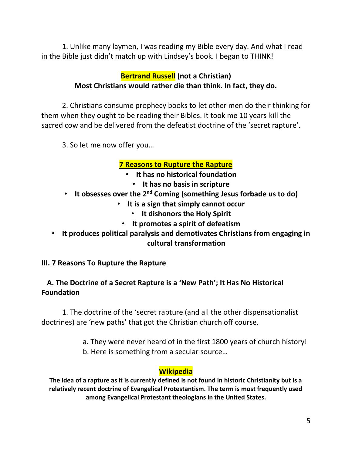1. Unlike many laymen, I was reading my Bible every day. And what I read in the Bible just didn't match up with Lindsey's book. I began to THINK!

# **Bertrand Russell (not a Christian) Most Christians would rather die than think. In fact, they do.**

2. Christians consume prophecy books to let other men do their thinking for them when they ought to be reading their Bibles. It took me 10 years kill the sacred cow and be delivered from the defeatist doctrine of the 'secret rapture'.

3. So let me now offer you…

## **7 Reasons to Rupture the Rapture**

- **It has no historical foundation**
	- **It has no basis in scripture**
- **It obsesses over the 2nd Coming (something Jesus forbade us to do)**
	- **It is a sign that simply cannot occur**
		- **It dishonors the Holy Spirit**
		- **It promotes a spirit of defeatism**
- **It produces political paralysis and demotivates Christians from engaging in cultural transformation**

**III. 7 Reasons To Rupture the Rapture**

## **A. The Doctrine of a Secret Rapture is a 'New Path'; It Has No Historical Foundation**

1. The doctrine of the 'secret rapture (and all the other dispensationalist doctrines) are 'new paths' that got the Christian church off course.

- a. They were never heard of in the first 1800 years of church history!
- b. Here is something from a secular source…

#### **Wikipedia**

**The idea of a rapture as it is currently defined is not found in historic Christianity but is a relatively recent doctrine of Evangelical Protestantism. The term is most frequently used among Evangelical Protestant theologians in the United States.**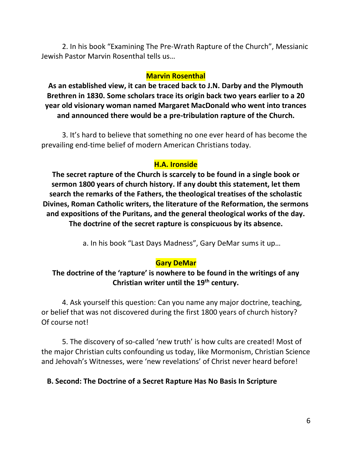2. In his book "Examining The Pre-Wrath Rapture of the Church", Messianic Jewish Pastor Marvin Rosenthal tells us…

#### **Marvin Rosenthal**

**As an established view, it can be traced back to J.N. Darby and the Plymouth Brethren in 1830. Some scholars trace its origin back two years earlier to a 20 year old visionary woman named Margaret MacDonald who went into trances and announced there would be a pre-tribulation rapture of the Church.**

3. It's hard to believe that something no one ever heard of has become the prevailing end-time belief of modern American Christians today.

## **H.A. Ironside**

**The secret rapture of the Church is scarcely to be found in a single book or sermon 1800 years of church history. If any doubt this statement, let them search the remarks of the Fathers, the theological treatises of the scholastic Divines, Roman Catholic writers, the literature of the Reformation, the sermons and expositions of the Puritans, and the general theological works of the day. The doctrine of the secret rapture is conspicuous by its absence.**

a. In his book "Last Days Madness", Gary DeMar sums it up…

## **Gary DeMar**

## **The doctrine of the 'rapture' is nowhere to be found in the writings of any Christian writer until the 19th century.**

4. Ask yourself this question: Can you name any major doctrine, teaching, or belief that was not discovered during the first 1800 years of church history? Of course not!

5. The discovery of so-called 'new truth' is how cults are created! Most of the major Christian cults confounding us today, like Mormonism, Christian Science and Jehovah's Witnesses, were 'new revelations' of Christ never heard before!

## **B. Second: The Doctrine of a Secret Rapture Has No Basis In Scripture**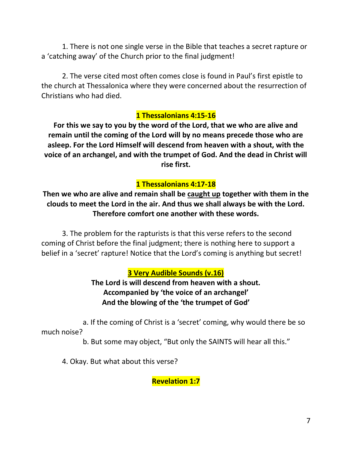1. There is not one single verse in the Bible that teaches a secret rapture or a 'catching away' of the Church prior to the final judgment!

2. The verse cited most often comes close is found in Paul's first epistle to the church at Thessalonica where they were concerned about the resurrection of Christians who had died.

#### **1 Thessalonians 4:15-16**

**For this we say to you by the word of the Lord, that we who are alive and remain until the coming of the Lord will by no means precede those who are asleep. For the Lord Himself will descend from heaven with a shout, with the voice of an archangel, and with the trumpet of God. And the dead in Christ will rise first.**

### **1 Thessalonians 4:17-18**

**Then we who are alive and remain shall be caught up together with them in the clouds to meet the Lord in the air. And thus we shall always be with the Lord. Therefore comfort one another with these words.**

3. The problem for the rapturists is that this verse refers to the second coming of Christ before the final judgment; there is nothing here to support a belief in a 'secret' rapture! Notice that the Lord's coming is anything but secret!

#### **3 Very Audible Sounds (v.16)**

**The Lord is will descend from heaven with a shout. Accompanied by 'the voice of an archangel' And the blowing of the 'the trumpet of God'**

a. If the coming of Christ is a 'secret' coming, why would there be so much noise?

b. But some may object, "But only the SAINTS will hear all this."

4. Okay. But what about this verse?

**Revelation 1:7**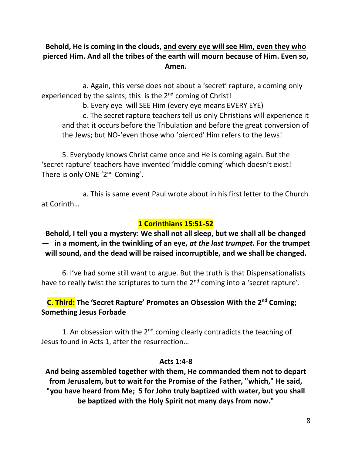## **Behold, He is coming in the clouds, and every eye will see Him, even they who pierced Him. And all the tribes of the earth will mourn because of Him. Even so, Amen.**

a. Again, this verse does not about a 'secret' rapture, a coming only experienced by the saints; this is the  $2^{nd}$  coming of Christ!

b. Every eye will SEE Him (every eye means EVERY EYE)

c. The secret rapture teachers tell us only Christians will experience it and that it occurs before the Tribulation and before the great conversion of the Jews; but NO-'even those who 'pierced' Him refers to the Jews!

5. Everybody knows Christ came once and He is coming again. But the 'secret rapture' teachers have invented 'middle coming' which doesn't exist! There is only ONE '2<sup>nd</sup> Coming'.

a. This is same event Paul wrote about in his first letter to the Church at Corinth…

### **1 Corinthians 15:51-52**

**Behold, I tell you a mystery: We shall not all sleep, but we shall all be changed — in a moment, in the twinkling of an eye,** *at the last trumpet***. For the trumpet will sound, and the dead will be raised incorruptible, and we shall be changed.**

6. I've had some still want to argue. But the truth is that Dispensationalists have to really twist the scriptures to turn the 2<sup>nd</sup> coming into a 'secret rapture'.

### **C. Third: The 'Secret Rapture' Promotes an Obsession With the 2nd Coming; Something Jesus Forbade**

1. An obsession with the  $2^{nd}$  coming clearly contradicts the teaching of Jesus found in Acts 1, after the resurrection…

#### **Acts 1:4-8**

**And being assembled together with them, He commanded them not to depart from Jerusalem, but to wait for the Promise of the Father, "which," He said, "you have heard from Me; 5 for John truly baptized with water, but you shall be baptized with the Holy Spirit not many days from now."**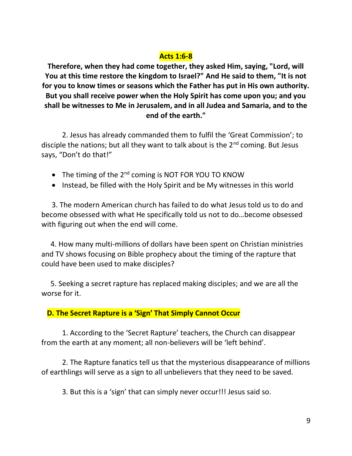## **Acts 1:6-8**

**Therefore, when they had come together, they asked Him, saying, "Lord, will You at this time restore the kingdom to Israel?" And He said to them, "It is not for you to know times or seasons which the Father has put in His own authority. But you shall receive power when the Holy Spirit has come upon you; and you shall be witnesses to Me in Jerusalem, and in all Judea and Samaria, and to the end of the earth."**

2. Jesus has already commanded them to fulfil the 'Great Commission'; to disciple the nations; but all they want to talk about is the 2<sup>nd</sup> coming. But Jesus says, "Don't do that!"

- The timing of the  $2^{nd}$  coming is NOT FOR YOU TO KNOW
- Instead, be filled with the Holy Spirit and be My witnesses in this world

3. The modern American church has failed to do what Jesus told us to do and become obsessed with what He specifically told us not to do…become obsessed with figuring out when the end will come.

 4. How many multi-millions of dollars have been spent on Christian ministries and TV shows focusing on Bible prophecy about the timing of the rapture that could have been used to make disciples?

 5. Seeking a secret rapture has replaced making disciples; and we are all the worse for it.

#### **D. The Secret Rapture is a 'Sign' That Simply Cannot Occur**

1. According to the 'Secret Rapture' teachers, the Church can disappear from the earth at any moment; all non-believers will be 'left behind'.

2. The Rapture fanatics tell us that the mysterious disappearance of millions of earthlings will serve as a sign to all unbelievers that they need to be saved.

3. But this is a 'sign' that can simply never occur!!! Jesus said so.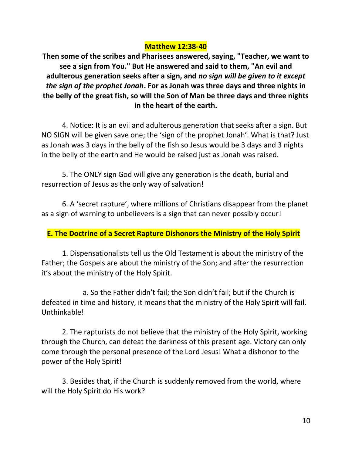#### **Matthew 12:38-40**

**Then some of the scribes and Pharisees answered, saying, "Teacher, we want to see a sign from You." But He answered and said to them, "An evil and adulterous generation seeks after a sign, and** *no sign will be given to it except the sign of the prophet Jonah***. For as Jonah was three days and three nights in the belly of the great fish, so will the Son of Man be three days and three nights in the heart of the earth.**

4. Notice: It is an evil and adulterous generation that seeks after a sign. But NO SIGN will be given save one; the 'sign of the prophet Jonah'. What is that? Just as Jonah was 3 days in the belly of the fish so Jesus would be 3 days and 3 nights in the belly of the earth and He would be raised just as Jonah was raised.

5. The ONLY sign God will give any generation is the death, burial and resurrection of Jesus as the only way of salvation!

6. A 'secret rapture', where millions of Christians disappear from the planet as a sign of warning to unbelievers is a sign that can never possibly occur!

## **E. The Doctrine of a Secret Rapture Dishonors the Ministry of the Holy Spirit**

1. Dispensationalists tell us the Old Testament is about the ministry of the Father; the Gospels are about the ministry of the Son; and after the resurrection it's about the ministry of the Holy Spirit.

a. So the Father didn't fail; the Son didn't fail; but if the Church is defeated in time and history, it means that the ministry of the Holy Spirit will fail. Unthinkable!

2. The rapturists do not believe that the ministry of the Holy Spirit, working through the Church, can defeat the darkness of this present age. Victory can only come through the personal presence of the Lord Jesus! What a dishonor to the power of the Holy Spirit!

3. Besides that, if the Church is suddenly removed from the world, where will the Holy Spirit do His work?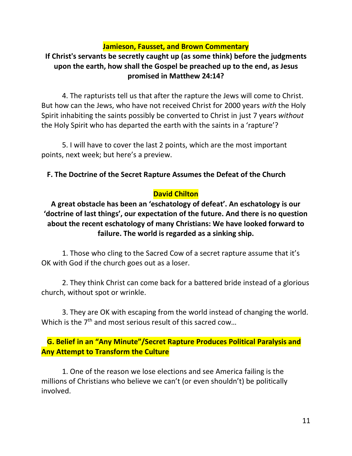#### **Jamieson, Fausset, and Brown Commentary**

# **If Christ's servants be secretly caught up (as some think) before the judgments upon the earth, how shall the Gospel be preached up to the end, as Jesus promised in Matthew 24:14?**

4. The rapturists tell us that after the rapture the Jews will come to Christ. But how can the Jews, who have not received Christ for 2000 years *with* the Holy Spirit inhabiting the saints possibly be converted to Christ in just 7 years *without*  the Holy Spirit who has departed the earth with the saints in a 'rapture'?

5. I will have to cover the last 2 points, which are the most important points, next week; but here's a preview.

#### **F. The Doctrine of the Secret Rapture Assumes the Defeat of the Church**

#### **David Chilton**

**A great obstacle has been an 'eschatology of defeat'. An eschatology is our 'doctrine of last things', our expectation of the future. And there is no question about the recent eschatology of many Christians: We have looked forward to failure. The world is regarded as a sinking ship.**

1. Those who cling to the Sacred Cow of a secret rapture assume that it's OK with God if the church goes out as a loser.

2. They think Christ can come back for a battered bride instead of a glorious church, without spot or wrinkle.

3. They are OK with escaping from the world instead of changing the world. Which is the  $7<sup>th</sup>$  and most serious result of this sacred cow...

 **G. Belief in an "Any Minute"/Secret Rapture Produces Political Paralysis and Any Attempt to Transform the Culture**

1. One of the reason we lose elections and see America failing is the millions of Christians who believe we can't (or even shouldn't) be politically involved.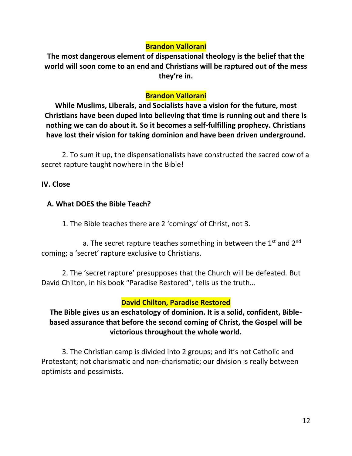### **Brandon Vallorani**

**The most dangerous element of dispensational theology is the belief that the world will soon come to an end and Christians will be raptured out of the mess they're in.** 

### **Brandon Vallorani**

**While Muslims, Liberals, and Socialists have a vision for the future, most Christians have been duped into believing that time is running out and there is nothing we can do about it. So it becomes a self-fulfilling prophecy. Christians have lost their vision for taking dominion and have been driven underground.**

2. To sum it up, the dispensationalists have constructed the sacred cow of a secret rapture taught nowhere in the Bible!

#### **IV. Close**

### **A. What DOES the Bible Teach?**

1. The Bible teaches there are 2 'comings' of Christ, not 3.

a. The secret rapture teaches something in between the  $1<sup>st</sup>$  and  $2<sup>nd</sup>$ coming; a 'secret' rapture exclusive to Christians.

2. The 'secret rapture' presupposes that the Church will be defeated. But David Chilton, in his book "Paradise Restored", tells us the truth…

## **David Chilton, Paradise Restored**

# **The Bible gives us an eschatology of dominion. It is a solid, confident, Biblebased assurance that before the second coming of Christ, the Gospel will be victorious throughout the whole world.**

3. The Christian camp is divided into 2 groups; and it's not Catholic and Protestant; not charismatic and non-charismatic; our division is really between optimists and pessimists.